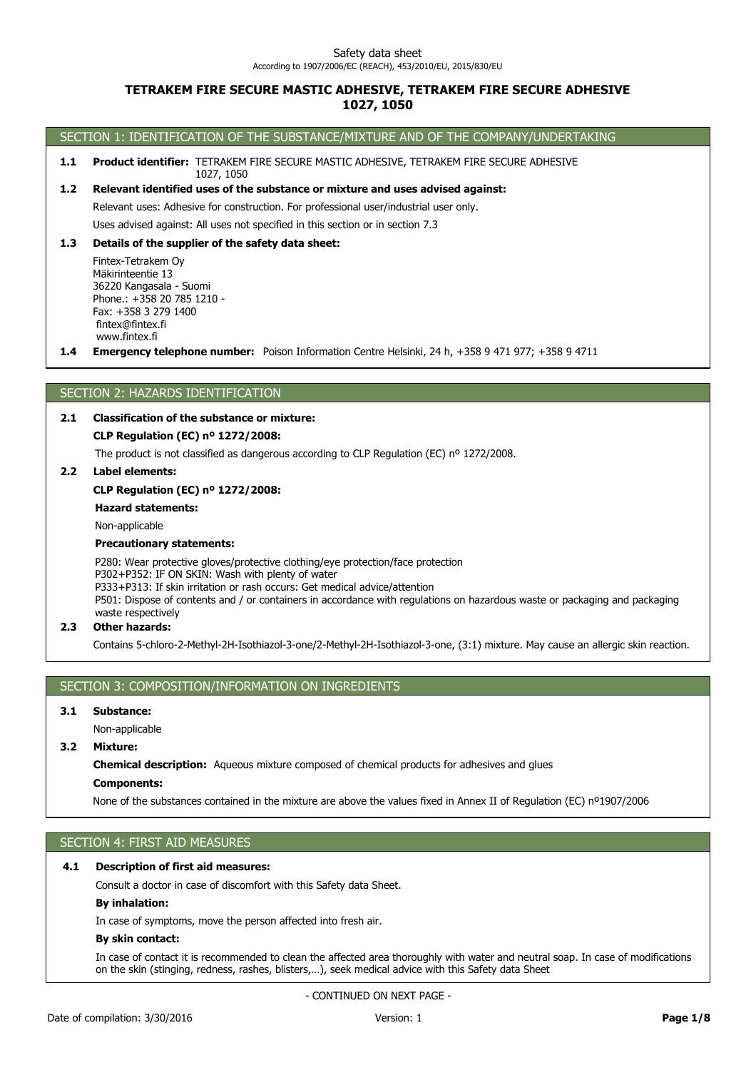# **TETRAKEM FIRE SECURE MASTIC ADHESIVE, TETRAKEM FIRE SECURE ADHESIVE 1027, 1050**

## SECTION 1: IDENTIFICATION OF THE SUBSTANCE/MIXTURE AND OF THE COMPANY/UNDERTAKING

**1.1 Product identifier:** TETRAKEM FIRE SECURE MASTIC ADHESIVE, TETRAKEM FIRE SECURE ADHESIVE 1027, 1050

## **1.2 Relevant identified uses of the substance or mixture and uses advised against:**

Relevant uses: Adhesive for construction. For professional user/industrial user only.

Uses advised against: All uses not specified in this section or in section 7.3

## **1.3 Details of the supplier of the safety data sheet:**

Fintex-Tetrakem Oy Mäkirinteentie 13 36220 Kangasala - Suomi Phone.: +358 20 785 1210 - Fax: +358 3 279 1400 fintex@fintex.fi www.fintex.fi

**1.4 Emergency telephone number:** Poison Information Centre Helsinki, 24 h, +358 9 471 977; +358 9 4711

## SECTION 2: HAZARDS IDENTIFICATION

## **2.1 Classification of the substance or mixture:**

## **CLP Regulation (EC) nº 1272/2008:**

The product is not classified as dangerous according to CLP Regulation (EC) nº 1272/2008.

## **2.2 Label elements:**

## **CLP Regulation (EC) nº 1272/2008:**

**Hazard statements:**

### Non-applicable

## **Precautionary statements:**

P280: Wear protective gloves/protective clothing/eye protection/face protection P302+P352: IF ON SKIN: Wash with plenty of water P333+P313: If skin irritation or rash occurs: Get medical advice/attention P501: Dispose of contents and / or containers in accordance with regulations on hazardous waste or packaging and packaging waste respectively

## **2.3 Other hazards:**

Contains 5-chloro-2-Methyl-2H-Isothiazol-3-one/2-Methyl-2H-Isothiazol-3-one, (3:1) mixture. May cause an allergic skin reaction.

## SECTION 3: COMPOSITION/INFORMATION ON INGREDIENTS

## **3.1 Substance:**

Non-applicable

## **3.2 Mixture:**

**Chemical description:** Aqueous mixture composed of chemical products for adhesives and glues

### **Components:**

None of the substances contained in the mixture are above the values fixed in Annex II of Regulation (EC) nº1907/2006

# SECTION 4: FIRST AID MEASURES

## **4.1 Description of first aid measures:**

Consult a doctor in case of discomfort with this Safety data Sheet.

## **By inhalation:**

In case of symptoms, move the person affected into fresh air.

## **By skin contact:**

In case of contact it is recommended to clean the affected area thoroughly with water and neutral soap. In case of modifications on the skin (stinging, redness, rashes, blisters,…), seek medical advice with this Safety data Sheet

- CONTINUED ON NEXT PAGE -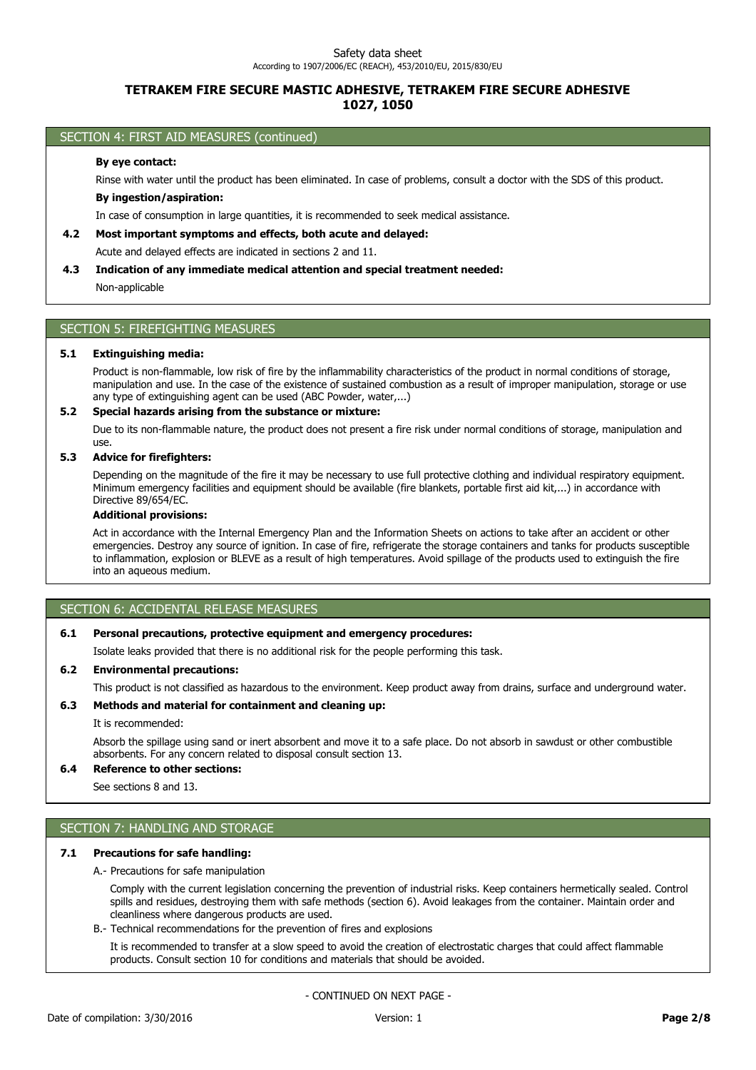## **TETRAKEM FIRE SECURE MASTIC ADHESIVE, TETRAKEM FIRE SECURE ADHESIVE 1027, 1050**

## SECTION 4: FIRST AID MEASURES (continued)

## **By eye contact:**

**By ingestion/aspiration:** Rinse with water until the product has been eliminated. In case of problems, consult a doctor with the SDS of this product.

In case of consumption in large quantities, it is recommended to seek medical assistance.

### **4.2 Most important symptoms and effects, both acute and delayed:**

Acute and delayed effects are indicated in sections 2 and 11.

### **4.3 Indication of any immediate medical attention and special treatment needed:**

Non-applicable

## SECTION 5: FIREFIGHTING MEASURES

## **5.1 Extinguishing media:**

Product is non-flammable, low risk of fire by the inflammability characteristics of the product in normal conditions of storage, manipulation and use. In the case of the existence of sustained combustion as a result of improper manipulation, storage or use any type of extinguishing agent can be used (ABC Powder, water,...)

### **5.2 Special hazards arising from the substance or mixture:**

Due to its non-flammable nature, the product does not present a fire risk under normal conditions of storage, manipulation and use.

## **5.3 Advice for firefighters:**

Depending on the magnitude of the fire it may be necessary to use full protective clothing and individual respiratory equipment. Minimum emergency facilities and equipment should be available (fire blankets, portable first aid kit,...) in accordance with Directive 89/654/EC.

### **Additional provisions:**

Act in accordance with the Internal Emergency Plan and the Information Sheets on actions to take after an accident or other emergencies. Destroy any source of ignition. In case of fire, refrigerate the storage containers and tanks for products susceptible to inflammation, explosion or BLEVE as a result of high temperatures. Avoid spillage of the products used to extinguish the fire into an aqueous medium.

## SECTION 6: ACCIDENTAL RELEASE MEASURES

## **6.1 Personal precautions, protective equipment and emergency procedures:**

Isolate leaks provided that there is no additional risk for the people performing this task.

## **6.2 Environmental precautions:**

This product is not classified as hazardous to the environment. Keep product away from drains, surface and underground water.

## **6.3 Methods and material for containment and cleaning up:**

#### It is recommended:

Absorb the spillage using sand or inert absorbent and move it to a safe place. Do not absorb in sawdust or other combustible absorbents. For any concern related to disposal consult section 13.

# **6.4 Reference to other sections:**

See sections 8 and 13.

## SECTION 7: HANDLING AND STORAGE

## **7.1 Precautions for safe handling:**

A.- Precautions for safe manipulation

Comply with the current legislation concerning the prevention of industrial risks. Keep containers hermetically sealed. Control spills and residues, destroying them with safe methods (section 6). Avoid leakages from the container. Maintain order and cleanliness where dangerous products are used.

B.- Technical recommendations for the prevention of fires and explosions

It is recommended to transfer at a slow speed to avoid the creation of electrostatic charges that could affect flammable products. Consult section 10 for conditions and materials that should be avoided.

- CONTINUED ON NEXT PAGE -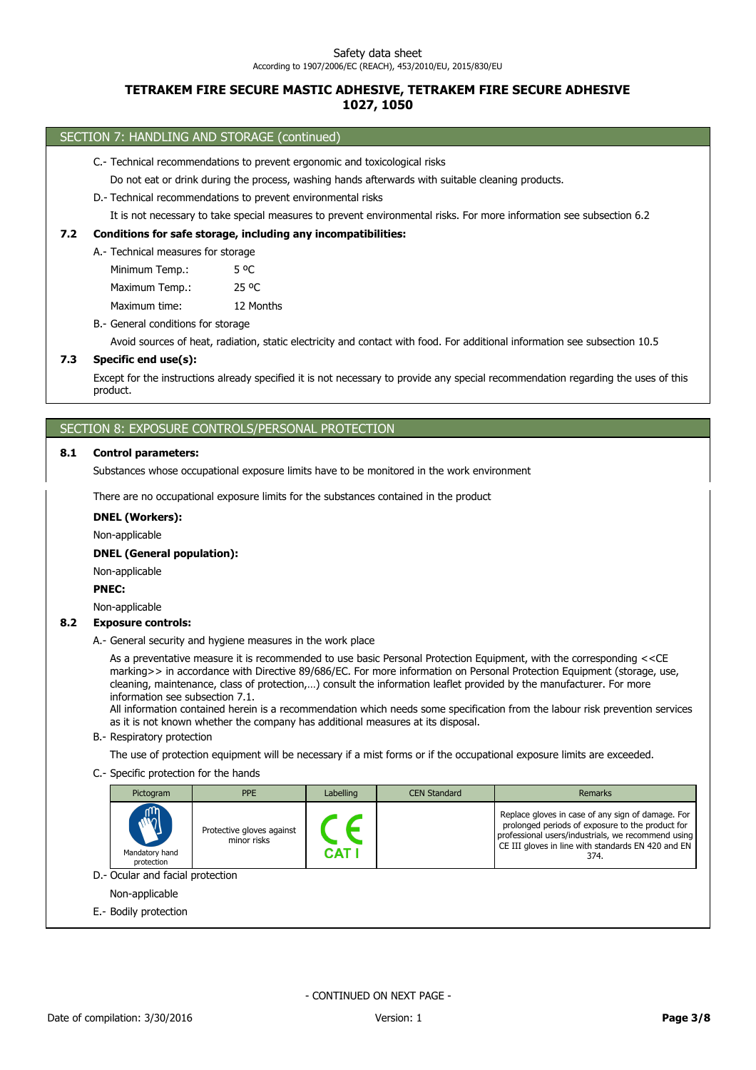## **TETRAKEM FIRE SECURE MASTIC ADHESIVE, TETRAKEM FIRE SECURE ADHESIVE 1027, 1050**

## SECTION 7: HANDLING AND STORAGE (continued)

C.- Technical recommendations to prevent ergonomic and toxicological risks

Do not eat or drink during the process, washing hands afterwards with suitable cleaning products.

D.- Technical recommendations to prevent environmental risks

It is not necessary to take special measures to prevent environmental risks. For more information see subsection 6.2

### **7.2 Conditions for safe storage, including any incompatibilities:**

A.- Technical measures for storage

| Minimum Temp.: | 5 OC      |
|----------------|-----------|
| Maximum Temp.: | 25 °C     |
| Maximum time:  | 12 Months |

B.- General conditions for storage

Avoid sources of heat, radiation, static electricity and contact with food. For additional information see subsection 10.5

## **7.3 Specific end use(s):**

Except for the instructions already specified it is not necessary to provide any special recommendation regarding the uses of this product.

## SECTION 8: EXPOSURE CONTROLS/PERSONAL PROTECTION

### **8.1 Control parameters:**

Substances whose occupational exposure limits have to be monitored in the work environment

There are no occupational exposure limits for the substances contained in the product

## **DNEL (Workers):**

Non-applicable

## **DNEL (General population):**

Non-applicable

### **PNEC:**

Non-applicable

## **8.2 Exposure controls:**

A.- General security and hygiene measures in the work place

As a preventative measure it is recommended to use basic Personal Protection Equipment, with the corresponding <<CE marking>> in accordance with Directive 89/686/EC. For more information on Personal Protection Equipment (storage, use, cleaning, maintenance, class of protection,…) consult the information leaflet provided by the manufacturer. For more information see subsection 7.1.

All information contained herein is a recommendation which needs some specification from the labour risk prevention services as it is not known whether the company has additional measures at its disposal.

### B.- Respiratory protection

The use of protection equipment will be necessary if a mist forms or if the occupational exposure limits are exceeded.

C.- Specific protection for the hands

| Pictogram                         | <b>PPE</b>                               | Labelling | <b>CEN Standard</b> | Remarks                                                                                                                                                                                                                   |
|-----------------------------------|------------------------------------------|-----------|---------------------|---------------------------------------------------------------------------------------------------------------------------------------------------------------------------------------------------------------------------|
| M<br>Mandatory hand<br>protection | Protective gloves against<br>minor risks | CAT       |                     | Replace gloves in case of any sign of damage. For<br>prolonged periods of exposure to the product for<br>professional users/industrials, we recommend using<br>CE III gloves in line with standards EN 420 and EN<br>374. |
| D.- Ocular and facial protection  |                                          |           |                     |                                                                                                                                                                                                                           |

Non-applicable

E.- Bodily protection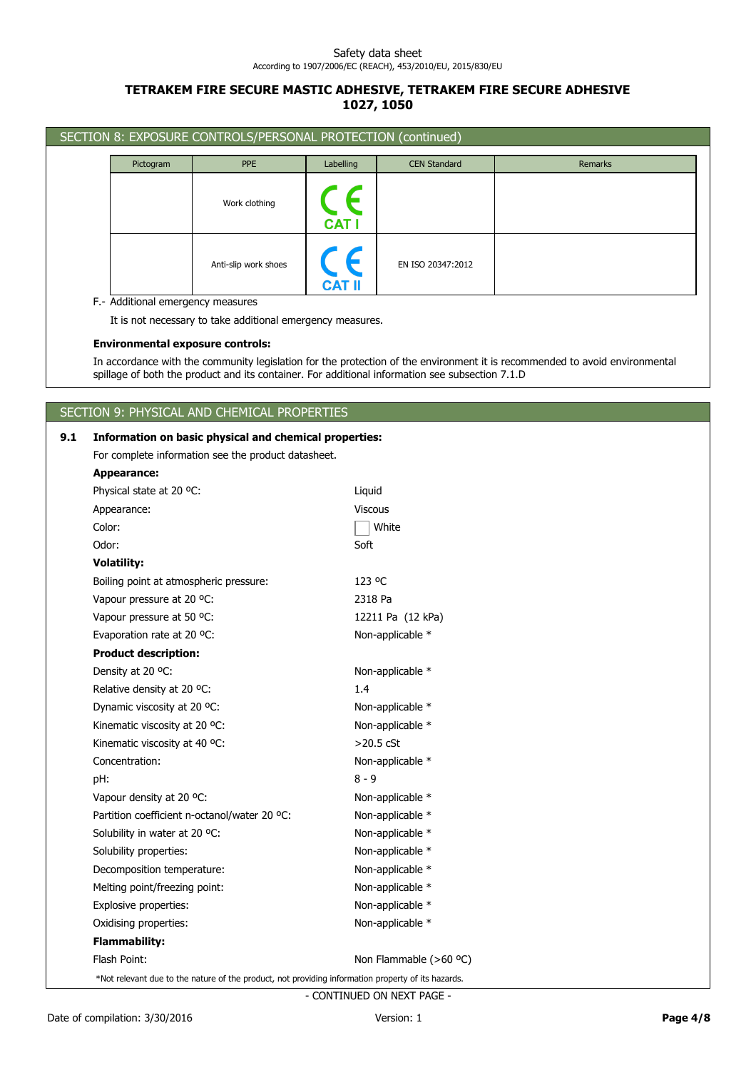# **TETRAKEM FIRE SECURE MASTIC ADHESIVE, TETRAKEM FIRE SECURE ADHESIVE 1027, 1050**

| Pictogram | <b>PPE</b>           | Labelling     | <b>CEN Standard</b> | Remarks |
|-----------|----------------------|---------------|---------------------|---------|
|           | Work clothing        | <b>CAT I</b>  |                     |         |
|           | Anti-slip work shoes | <b>CAT II</b> | EN ISO 20347:2012   |         |

It is not necessary to take additional emergency measures.

### **Environmental exposure controls:**

In accordance with the community legislation for the protection of the environment it is recommended to avoid environmental spillage of both the product and its container. For additional information see subsection 7.1.D

## SECTION 9: PHYSICAL AND CHEMICAL PROPERTIES

## **9.1 Information on basic physical and chemical properties:**

For complete information see the product datasheet.

| Appearance:                                                                                        |                          |
|----------------------------------------------------------------------------------------------------|--------------------------|
| Physical state at 20 °C:                                                                           | Liquid                   |
| Appearance:                                                                                        | <b>Viscous</b>           |
| Color:                                                                                             | White                    |
| Odor:                                                                                              | Soft                     |
| <b>Volatility:</b>                                                                                 |                          |
| Boiling point at atmospheric pressure:                                                             | 123 °C                   |
| Vapour pressure at 20 °C:                                                                          | 2318 Pa                  |
| Vapour pressure at 50 °C:                                                                          | 12211 Pa (12 kPa)        |
| Evaporation rate at 20 °C:                                                                         | Non-applicable *         |
| <b>Product description:</b>                                                                        |                          |
| Density at 20 °C:                                                                                  | Non-applicable *         |
| Relative density at 20 °C:                                                                         | 1.4                      |
| Dynamic viscosity at 20 °C:                                                                        | Non-applicable *         |
| Kinematic viscosity at 20 °C:                                                                      | Non-applicable *         |
| Kinematic viscosity at 40 °C:                                                                      | $>20.5$ cSt              |
| Concentration:                                                                                     | Non-applicable *         |
| pH:                                                                                                | $8 - 9$                  |
| Vapour density at 20 °C:                                                                           | Non-applicable *         |
| Partition coefficient n-octanol/water 20 °C:                                                       | Non-applicable *         |
| Solubility in water at 20 °C:                                                                      | Non-applicable *         |
| Solubility properties:                                                                             | Non-applicable *         |
| Decomposition temperature:                                                                         | Non-applicable *         |
| Melting point/freezing point:                                                                      | Non-applicable *         |
| Explosive properties:                                                                              | Non-applicable *         |
| Oxidising properties:                                                                              | Non-applicable *         |
| <b>Flammability:</b>                                                                               |                          |
| Flash Point:                                                                                       | Non Flammable $(>60$ °C) |
| *Not relevant due to the nature of the product, not providing information property of its hazards. |                          |

- CONTINUED ON NEXT PAGE -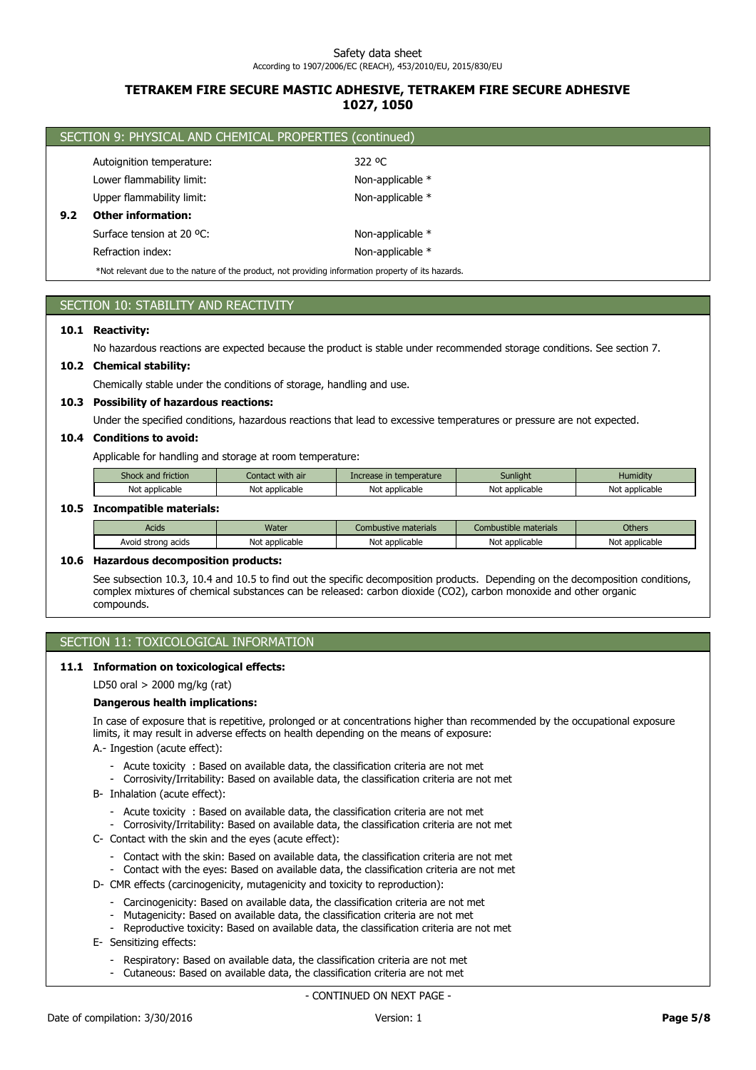# **TETRAKEM FIRE SECURE MASTIC ADHESIVE, TETRAKEM FIRE SECURE ADHESIVE 1027, 1050**

|     | SECTION 9: PHYSICAL AND CHEMICAL PROPERTIES (continued)                                            |                  |
|-----|----------------------------------------------------------------------------------------------------|------------------|
|     | Autoignition temperature:                                                                          | 322 °C           |
|     | Lower flammability limit:                                                                          | Non-applicable * |
|     | Upper flammability limit:                                                                          | Non-applicable * |
| 9.2 | <b>Other information:</b>                                                                          |                  |
|     | Surface tension at 20 °C:                                                                          | Non-applicable * |
|     | Refraction index:                                                                                  | Non-applicable * |
|     | *Not relevant due to the nature of the product, not providing information property of its hazards. |                  |

# SECTION 10: STABILITY AND REACTIVITY

### **10.1 Reactivity:**

No hazardous reactions are expected because the product is stable under recommended storage conditions. See section 7.

### **10.2 Chemical stability:**

Chemically stable under the conditions of storage, handling and use.

# **10.3 Possibility of hazardous reactions:**

Under the specified conditions, hazardous reactions that lead to excessive temperatures or pressure are not expected.

## **10.4 Conditions to avoid:**

Applicable for handling and storage at room temperature:

| Shock and friction | Contact with air | Increase in temperature | <b>Sunlight</b> | <b>Humidity</b> |
|--------------------|------------------|-------------------------|-----------------|-----------------|
| Not applicable     | Not applicable   | Not applicable          | Not applicable  | Not applicable  |

### **10.5 Incompatible materials:**

| <b>Acids</b> | Water                   | Combustive materials | materials<br>bustible | Others       |
|--------------|-------------------------|----------------------|-----------------------|--------------|
| i acids      | Not                     | applicable           | : applicable          | Not          |
| Avoid strong | <sup>.</sup> applicable | Not                  | Not                   | t applicable |

### **10.6 Hazardous decomposition products:**

See subsection 10.3, 10.4 and 10.5 to find out the specific decomposition products. Depending on the decomposition conditions, complex mixtures of chemical substances can be released: carbon dioxide (CO2), carbon monoxide and other organic compounds.

## SECTION 11: TOXICOLOGICAL INFORMATION

### **11.1 Information on toxicological effects:**

LD50 oral > 2000 mg/kg (rat)

#### **Dangerous health implications:**

In case of exposure that is repetitive, prolonged or at concentrations higher than recommended by the occupational exposure limits, it may result in adverse effects on health depending on the means of exposure:

A.- Ingestion (acute effect):

- Acute toxicity : Based on available data, the classification criteria are not met
- Corrosivity/Irritability: Based on available data, the classification criteria are not met
- B- Inhalation (acute effect):
	- Acute toxicity : Based on available data, the classification criteria are not met
	- Corrosivity/Irritability: Based on available data, the classification criteria are not met
- C- Contact with the skin and the eyes (acute effect):
	- Contact with the skin: Based on available data, the classification criteria are not met - Contact with the eyes: Based on available data, the classification criteria are not met
- D- CMR effects (carcinogenicity, mutagenicity and toxicity to reproduction):
	- Carcinogenicity: Based on available data, the classification criteria are not met
	- Mutagenicity: Based on available data, the classification criteria are not met
	- Reproductive toxicity: Based on available data, the classification criteria are not met
- E- Sensitizing effects:
	- Respiratory: Based on available data, the classification criteria are not met
	- Cutaneous: Based on available data, the classification criteria are not met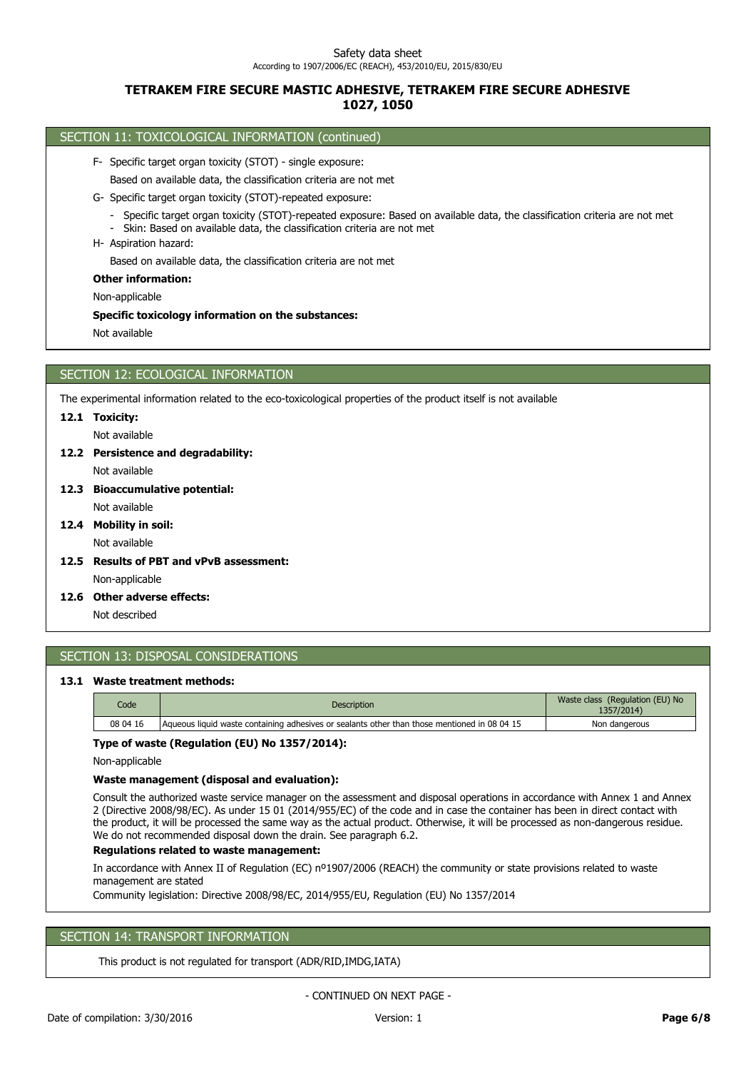## **TETRAKEM FIRE SECURE MASTIC ADHESIVE, TETRAKEM FIRE SECURE ADHESIVE 1027, 1050**

## SECTION 11: TOXICOLOGICAL INFORMATION (continued)

F- Specific target organ toxicity (STOT) - single exposure:

Based on available data, the classification criteria are not met

- G- Specific target organ toxicity (STOT)-repeated exposure:
	- Specific target organ toxicity (STOT)-repeated exposure: Based on available data, the classification criteria are not met
	- Skin: Based on available data, the classification criteria are not met
- H- Aspiration hazard:

Based on available data, the classification criteria are not met

#### **Other information:**

Non-applicable

## **Specific toxicology information on the substances:**

Not available

## SECTION 12: ECOLOGICAL INFORMATION

The experimental information related to the eco-toxicological properties of the product itself is not available

#### **12.1 Toxicity:**

Not available

- Not available **12.2 Persistence and degradability:**
- **12.3 Bioaccumulative potential:**
- Not available **12.4 Mobility in soil:**

Not available

- Non-applicable **12.5 Results of PBT and vPvB assessment:**
- **12.6 Other adverse effects:**

Not described

## SECTION 13: DISPOSAL CONSIDERATIONS

### **13.1 Waste treatment methods:**

| Code     | <b>Description</b>                                                                           | Waste class (Regulation (EU) No<br>1357/2014) |
|----------|----------------------------------------------------------------------------------------------|-----------------------------------------------|
| 08 04 16 | Aqueous liquid waste containing adhesives or sealants other than those mentioned in 08 04 15 | Non dangerous                                 |

## **Type of waste (Regulation (EU) No 1357/2014):**

Non-applicable

#### **Waste management (disposal and evaluation):**

Consult the authorized waste service manager on the assessment and disposal operations in accordance with Annex 1 and Annex 2 (Directive 2008/98/EC). As under 15 01 (2014/955/EC) of the code and in case the container has been in direct contact with the product, it will be processed the same way as the actual product. Otherwise, it will be processed as non-dangerous residue. We do not recommended disposal down the drain. See paragraph 6.2.

## **Regulations related to waste management:**

In accordance with Annex II of Regulation (EC) nº1907/2006 (REACH) the community or state provisions related to waste management are stated

Community legislation: Directive 2008/98/EC, 2014/955/EU, Regulation (EU) No 1357/2014

## SECTION 14: TRANSPORT INFORMATION

This product is not regulated for transport (ADR/RID,IMDG,IATA)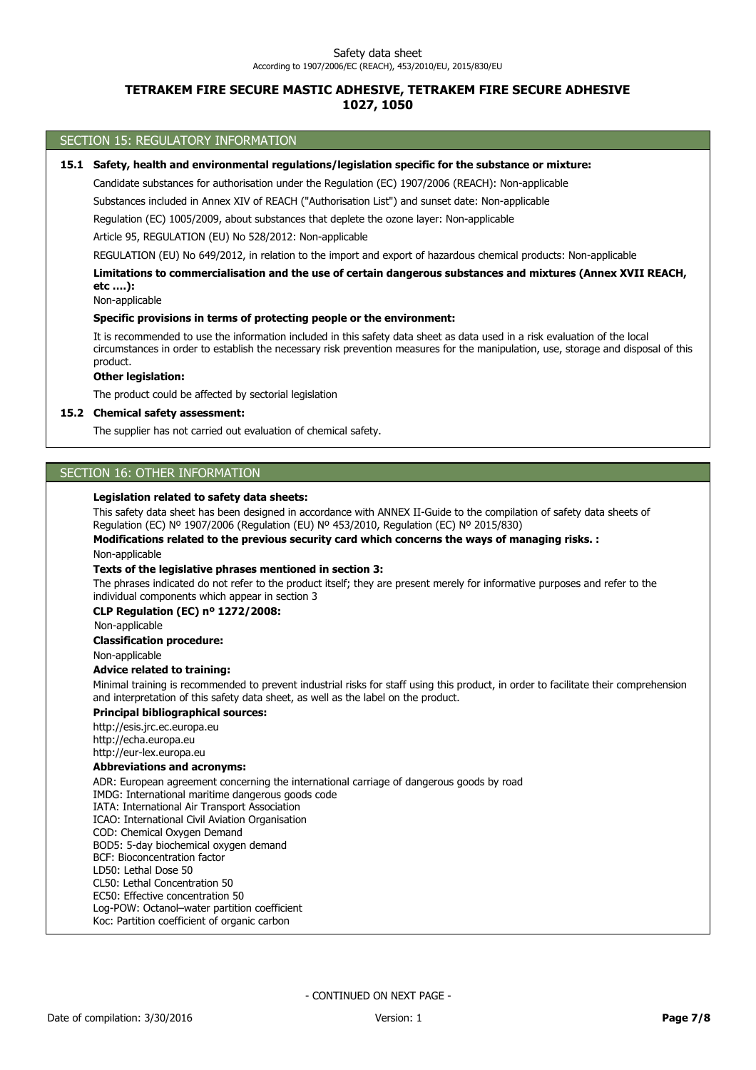## **TETRAKEM FIRE SECURE MASTIC ADHESIVE, TETRAKEM FIRE SECURE ADHESIVE 1027, 1050**

#### SECTION 15: REGULATORY INFORMATION

#### **15.1 Safety, health and environmental regulations/legislation specific for the substance or mixture:**

Candidate substances for authorisation under the Regulation (EC) 1907/2006 (REACH): Non-applicable

Substances included in Annex XIV of REACH ("Authorisation List") and sunset date: Non-applicable

Regulation (EC) 1005/2009, about substances that deplete the ozone layer: Non-applicable

Article 95, REGULATION (EU) No 528/2012: Non-applicable

REGULATION (EU) No 649/2012, in relation to the import and export of hazardous chemical products: Non-applicable

## **Limitations to commercialisation and the use of certain dangerous substances and mixtures (Annex XVII REACH, etc ….):**

Non-applicable

### **Specific provisions in terms of protecting people or the environment:**

It is recommended to use the information included in this safety data sheet as data used in a risk evaluation of the local circumstances in order to establish the necessary risk prevention measures for the manipulation, use, storage and disposal of this product.

### **Other legislation:**

The product could be affected by sectorial legislation

#### **15.2 Chemical safety assessment:**

The supplier has not carried out evaluation of chemical safety.

## SECTION 16: OTHER INFORMATION

### **Legislation related to safety data sheets:**

This safety data sheet has been designed in accordance with ANNEX II-Guide to the compilation of safety data sheets of Regulation (EC) Nº 1907/2006 (Regulation (EU) Nº 453/2010, Regulation (EC) Nº 2015/830)

### **Modifications related to the previous security card which concerns the ways of managing risks. :**

Non-applicable

#### **Texts of the legislative phrases mentioned in section 3:**

The phrases indicated do not refer to the product itself; they are present merely for informative purposes and refer to the individual components which appear in section 3

### **CLP Regulation (EC) nº 1272/2008:**

Non-applicable

### **Classification procedure:**

Non-applicable

#### **Advice related to training:**

Minimal training is recommended to prevent industrial risks for staff using this product, in order to facilitate their comprehension and interpretation of this safety data sheet, as well as the label on the product.

#### **Principal bibliographical sources:**

http://esis.jrc.ec.europa.eu http://echa.europa.eu http://eur-lex.europa.eu

#### **Abbreviations and acronyms:**

ADR: European agreement concerning the international carriage of dangerous goods by road

IMDG: International maritime dangerous goods code

IATA: International Air Transport Association

ICAO: International Civil Aviation Organisation

COD: Chemical Oxygen Demand

BOD5: 5-day biochemical oxygen demand

BCF: Bioconcentration factor LD50: Lethal Dose 50

CL50: Lethal Concentration 50

EC50: Effective concentration 50

Log-POW: Octanol–water partition coefficient

Koc: Partition coefficient of organic carbon